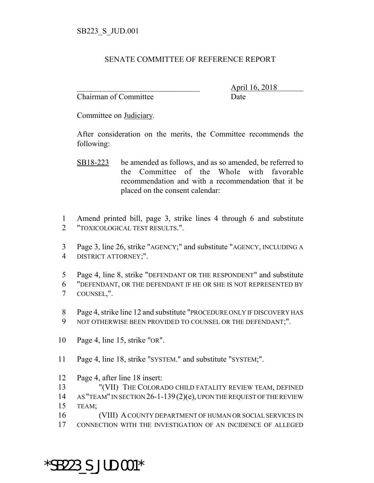## SENATE COMMITTEE OF REFERENCE REPORT

Chairman of Committee Date

\_\_\_\_\_\_\_\_\_\_\_\_\_\_\_\_\_\_\_\_\_\_\_\_\_\_\_\_\_\_\_ April 16, 2018

Committee on Judiciary.

After consideration on the merits, the Committee recommends the following:

- SB18-223 be amended as follows, and as so amended, be referred to the Committee of the Whole with favorable recommendation and with a recommendation that it be placed on the consent calendar:
- 1 Amend printed bill, page 3, strike lines 4 through 6 and substitute 2 "TOXICOLOGICAL TEST RESULTS.".
- 3 Page 3, line 26, strike "AGENCY;" and substitute "AGENCY, INCLUDING A 4 DISTRICT ATTORNEY;".
- 5 Page 4, line 8, strike "DEFENDANT OR THE RESPONDENT" and substitute 6 "DEFENDANT, OR THE DEFENDANT IF HE OR SHE IS NOT REPRESENTED BY 7 COUNSEL,".
- 8 Page 4, strike line 12 and substitute "PROCEDURE ONLY IF DISCOVERY HAS
- 9 NOT OTHERWISE BEEN PROVIDED TO COUNSEL OR THE DEFENDANT:".
- 10 Page 4, line 15, strike "OR".
- 11 Page 4, line 18, strike "SYSTEM." and substitute "SYSTEM;".
- 12 Page 4, after line 18 insert:
- 13 "(VII) THE COLORADO CHILD FATALITY REVIEW TEAM, DEFINED
- 14 AS "TEAM" IN SECTION 26-1-139(2)(e), UPON THE REQUEST OF THE REVIEW 15 TEAM;
- 16 (VIII) A COUNTY DEPARTMENT OF HUMAN OR SOCIAL SERVICES IN
- 17 CONNECTION WITH THE INVESTIGATION OF AN INCIDENCE OF ALLEGED

## \*SB223\_S\_JUD.001\*